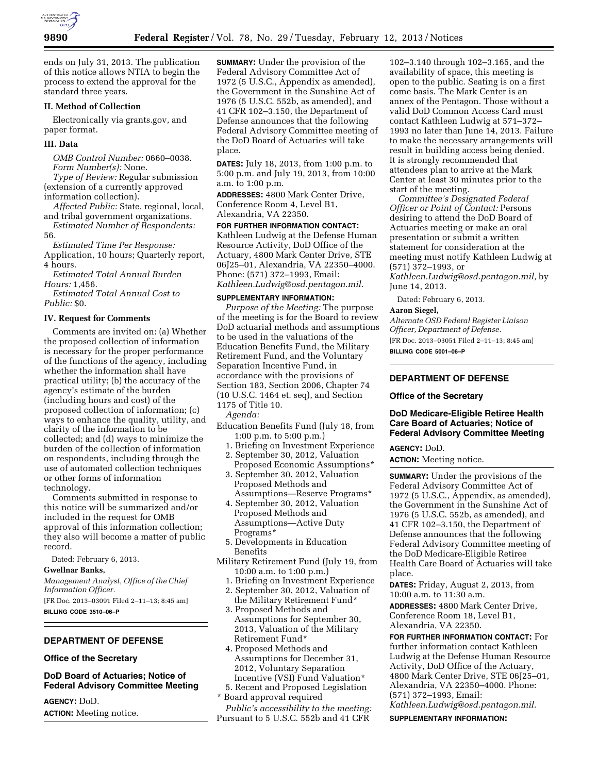

ends on July 31, 2013. The publication of this notice allows NTIA to begin the process to extend the approval for the standard three years.

### **II. Method of Collection**

Electronically via grants.gov, and paper format.

### **III. Data**

*OMB Control Number:* 0660–0038. *Form Number(s):* None.

*Type of Review:* Regular submission (extension of a currently approved information collection).

*Affected Public:* State, regional, local, and tribal government organizations. *Estimated Number of Respondents:* 

56.

*Estimated Time Per Response:*  Application, 10 hours; Quarterly report, 4 hours.

*Estimated Total Annual Burden Hours:* 1,456.

*Estimated Total Annual Cost to Public:* \$0.

#### **IV. Request for Comments**

Comments are invited on: (a) Whether the proposed collection of information is necessary for the proper performance of the functions of the agency, including whether the information shall have practical utility; (b) the accuracy of the agency's estimate of the burden (including hours and cost) of the proposed collection of information; (c) ways to enhance the quality, utility, and clarity of the information to be collected; and (d) ways to minimize the burden of the collection of information on respondents, including through the use of automated collection techniques or other forms of information technology.

Comments submitted in response to this notice will be summarized and/or included in the request for OMB approval of this information collection; they also will become a matter of public record.

Dated: February 6, 2013.

#### **Gwellnar Banks,**

*Management Analyst, Office of the Chief Information Officer.* 

[FR Doc. 2013–03091 Filed 2–11–13; 8:45 am] **BILLING CODE 3510–06–P** 

### **DEPARTMENT OF DEFENSE**

### **Office of the Secretary**

**DoD Board of Actuaries; Notice of Federal Advisory Committee Meeting** 

**AGENCY:** DoD. **ACTION:** Meeting notice.

**SUMMARY:** Under the provision of the Federal Advisory Committee Act of 1972 (5 U.S.C., Appendix as amended), the Government in the Sunshine Act of 1976 (5 U.S.C. 552b, as amended), and 41 CFR 102–3.150, the Department of Defense announces that the following Federal Advisory Committee meeting of the DoD Board of Actuaries will take place.

**DATES:** July 18, 2013, from 1:00 p.m. to 5:00 p.m. and July 19, 2013, from 10:00 a.m. to 1:00 p.m.

**ADDRESSES:** 4800 Mark Center Drive, Conference Room 4, Level B1, Alexandria, VA 22350.

# **FOR FURTHER INFORMATION CONTACT:**

Kathleen Ludwig at the Defense Human Resource Activity, DoD Office of the Actuary, 4800 Mark Center Drive, STE 06J25–01, Alexandria, VA 22350–4000. Phone: (571) 372–1993, Email: *[Kathleen.Ludwig@osd.pentagon.mil.](mailto:Kathleen.Ludwig@osd.pentagon.mil)* 

### **SUPPLEMENTARY INFORMATION:**

*Purpose of the Meeting:* The purpose of the meeting is for the Board to review DoD actuarial methods and assumptions to be used in the valuations of the Education Benefits Fund, the Military Retirement Fund, and the Voluntary Separation Incentive Fund, in accordance with the provisions of Section 183, Section 2006, Chapter 74 (10 U.S.C. 1464 et. seq), and Section 1175 of Title 10.

*Agenda:* 

- Education Benefits Fund (July 18, from 1:00 p.m. to 5:00 p.m.)
	- 1. Briefing on Investment Experience 2. September 30, 2012, Valuation
	- Proposed Economic Assumptions\* 3. September 30, 2012, Valuation Proposed Methods and
	- Assumptions—Reserve Programs\* 4. September 30, 2012, Valuation
	- Proposed Methods and Assumptions—Active Duty Programs\*
	- 5. Developments in Education Benefits
- Military Retirement Fund (July 19, from 10:00 a.m. to 1:00 p.m.)
	- 1. Briefing on Investment Experience
	- 2. September 30, 2012, Valuation of the Military Retirement Fund\*
	- 3. Proposed Methods and Assumptions for September 30, 2013, Valuation of the Military Retirement Fund\*
	- 4. Proposed Methods and Assumptions for December 31, 2012, Voluntary Separation Incentive (VSI) Fund Valuation\*
	- 5. Recent and Proposed Legislation
- \* Board approval required

*Public's accessibility to the meeting:*  Pursuant to 5 U.S.C. 552b and 41 CFR

102–3.140 through 102–3.165, and the availability of space, this meeting is open to the public. Seating is on a first come basis. The Mark Center is an annex of the Pentagon. Those without a valid DoD Common Access Card must contact Kathleen Ludwig at 571–372– 1993 no later than June 14, 2013. Failure to make the necessary arrangements will result in building access being denied. It is strongly recommended that attendees plan to arrive at the Mark Center at least 30 minutes prior to the start of the meeting.

*Committee's Designated Federal Officer or Point of Contact:* Persons desiring to attend the DoD Board of Actuaries meeting or make an oral presentation or submit a written statement for consideration at the meeting must notify Kathleen Ludwig at (571) 372–1993, or *[Kathleen.Ludwig@osd.pentagon.mil,](mailto:Kathleen.Ludwig@osd.pentagon.mil)* by

June 14, 2013.

Dated: February 6, 2013.

### **Aaron Siegel,**

*Alternate OSD Federal Register Liaison Officer, Department of Defense.*  [FR Doc. 2013–03051 Filed 2–11–13; 8:45 am] **BILLING CODE 5001–06–P** 

### **DEPARTMENT OF DEFENSE**

#### **Office of the Secretary**

### **DoD Medicare-Eligible Retiree Health Care Board of Actuaries; Notice of Federal Advisory Committee Meeting**

#### **AGENCY:** DoD.

**ACTION:** Meeting notice.

**SUMMARY:** Under the provisions of the Federal Advisory Committee Act of 1972 (5 U.S.C., Appendix, as amended), the Government in the Sunshine Act of 1976 (5 U.S.C. 552b, as amended), and 41 CFR 102–3.150, the Department of Defense announces that the following Federal Advisory Committee meeting of the DoD Medicare-Eligible Retiree Health Care Board of Actuaries will take place.

**DATES:** Friday, August 2, 2013, from 10:00 a.m. to 11:30 a.m.

**ADDRESSES:** 4800 Mark Center Drive, Conference Room 18, Level B1, Alexandria, VA 22350.

**FOR FURTHER INFORMATION CONTACT:** For further information contact Kathleen Ludwig at the Defense Human Resource Activity, DoD Office of the Actuary, 4800 Mark Center Drive, STE 06J25–01, Alexandria, VA 22350–4000. Phone: (571) 372–1993, Email:

*[Kathleen.Ludwig@osd.pentagon.mil.](mailto:Kathleen.Ludwig@osd.pentagon.mil)*  **SUPPLEMENTARY INFORMATION:**